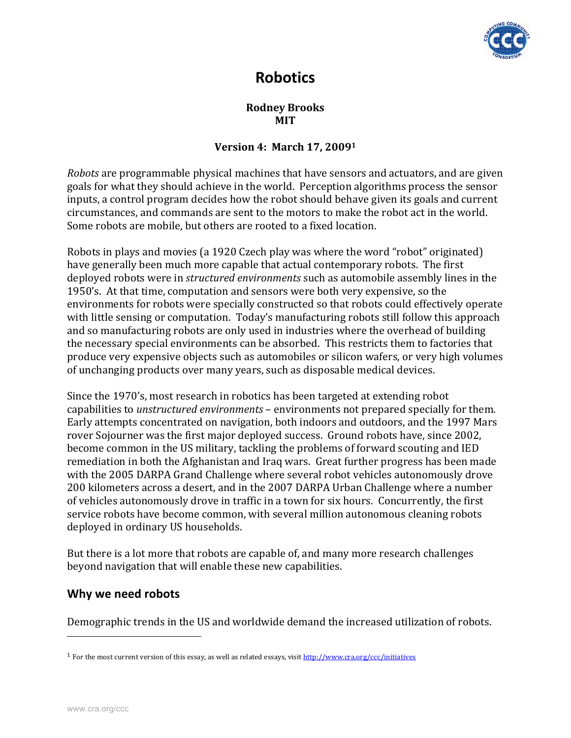

# **Robotics**

#### **Rodney Brooks MIT**

#### **Version 4: March 17, 20091**

*Robots* are programmable physical machines that have sensors and actuators, and are given goals for what they should achieve in the world. Perception algorithms process the sensor inputs, a control program decides how the robot should behave given its goals and current circumstances, and commands are sent to the motors to make the robot act in the world. Some robots are mobile, but others are rooted to a fixed location.

Robots in plays and movies (a 1920 Czech play was where the word "robot" originated) have generally been much more capable that actual contemporary robots. The first deployed robots were in *structured environments* such as automobile assembly lines in the 1950's. At that time, computation and sensors were both very expensive, so the environments for robots were specially constructed so that robots could effectively operate with little sensing or computation. Today's manufacturing robots still follow this approach and so manufacturing robots are only used in industries where the overhead of building the necessary special environments can be absorbed. This restricts them to factories that produce very expensive objects such as automobiles or silicon wafers, or very high volumes of unchanging products over many years, such as disposable medical devices.

Since the 1970's, most research in robotics has been targeted at extending robot capabilities to *unstructured environments* – environments not prepared specially for them. Early attempts concentrated on navigation, both indoors and outdoors, and the 1997 Mars rover Sojourner was the first major deployed success. Ground robots have, since 2002, become common in the US military, tackling the problems of forward scouting and IED remediation in both the Afghanistan and Iraq wars. Great further progress has been made with the 2005 DARPA Grand Challenge where several robot vehicles autonomously drove 200 kilometers across a desert, and in the 2007 DARPA Urban Challenge where a number of vehicles autonomously drove in traffic in a town for six hours. Concurrently, the first service robots have become common, with several million autonomous cleaning robots deployed in ordinary US households.

But there is a lot more that robots are capable of, and many more research challenges beyond navigation that will enable these new capabilities.

#### **Why we need robots**

Demographic trends in the US and worldwide demand the increased utilization of robots.

<sup>1</sup> For the most current version of this essay, as well as related essays, visit http://www.cra.org/ccc/initiatives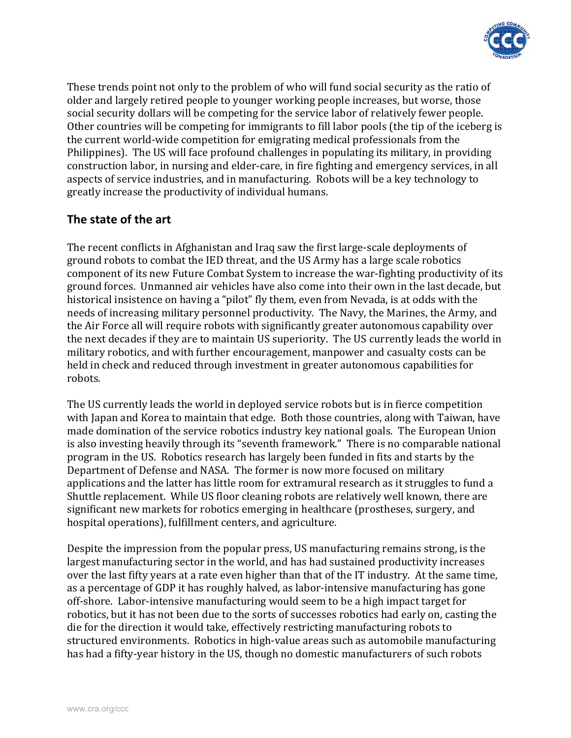

These trends point not only to the problem of who will fund social security as the ratio of older and largely retired people to younger working people increases, but worse, those social security dollars will be competing for the service labor of relatively fewer people. Other countries will be competing for immigrants to fill labor pools (the tip of the iceberg is the current world‐wide competition for emigrating medical professionals from the Philippines). The US will face profound challenges in populating its military, in providing construction labor, in nursing and elder‐care, in fire fighting and emergency services, in all aspects of service industries, and in manufacturing. Robots will be a key technology to greatly increase the productivity of individual humans.

## **The state of the art**

The recent conflicts in Afghanistan and Iraq saw the first large‐scale deployments of ground robots to combat the IED threat, and the US Army has a large scale robotics component of its new Future Combat System to increase the war-fighting productivity of its ground forces. Unmanned air vehicles have also come into their own in the last decade, but historical insistence on having a "pilot" fly them, even from Nevada, is at odds with the needs of increasing military personnel productivity. The Navy, the Marines, the Army, and the Air Force all will require robots with significantly greater autonomous capability over the next decades if they are to maintain US superiority. The US currently leads the world in military robotics, and with further encouragement, manpower and casualty costs can be held in check and reduced through investment in greater autonomous capabilities for robots.

The US currently leads the world in deployed service robots but is in fierce competition with Japan and Korea to maintain that edge. Both those countries, along with Taiwan, have made domination of the service robotics industry key national goals. The European Union is also investing heavily through its "seventh framework." There is no comparable national program in the US. Robotics research has largely been funded in fits and starts by the Department of Defense and NASA. The former is now more focused on military applications and the latter has little room for extramural research as it struggles to fund a Shuttle replacement. While US floor cleaning robots are relatively well known, there are significant new markets for robotics emerging in healthcare (prostheses, surgery, and hospital operations), fulfillment centers, and agriculture.

Despite the impression from the popular press, US manufacturing remains strong, is the largest manufacturing sector in the world, and has had sustained productivity increases over the last fifty years at a rate even higher than that of the IT industry. At the same time, as a percentage of GDP it has roughly halved, as labor‐intensive manufacturing has gone off‐shore. Labor‐intensive manufacturing would seem to be a high impact target for robotics, but it has not been due to the sorts of successes robotics had early on, casting the die for the direction it would take, effectively restricting manufacturing robots to structured environments. Robotics in high‐value areas such as automobile manufacturing has had a fifty-year history in the US, though no domestic manufacturers of such robots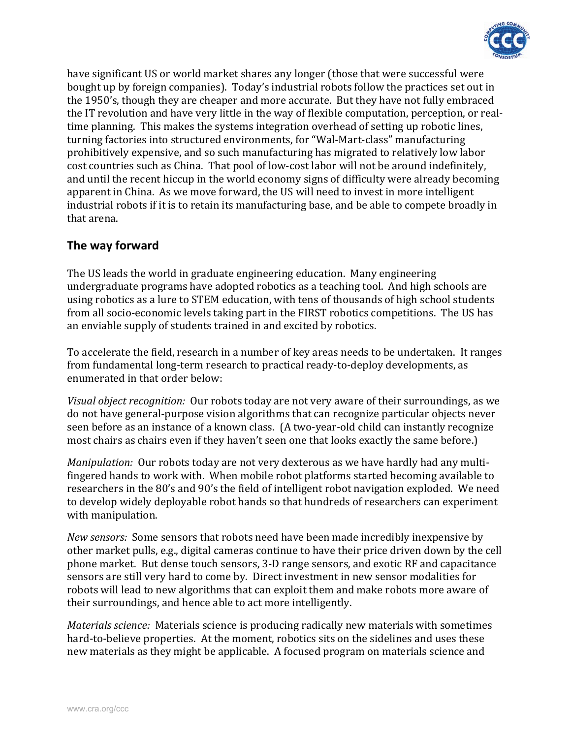

have significant US or world market shares any longer (those that were successful were bought up by foreign companies). Today's industrial robots follow the practices set out in the 1950's, though they are cheaper and more accurate. But they have not fully embraced the IT revolution and have very little in the way of flexible computation, perception, or real‐ time planning. This makes the systems integration overhead of setting up robotic lines, turning factories into structured environments, for "Wal‐Mart‐class" manufacturing prohibitively expensive, and so such manufacturing has migrated to relatively low labor cost countries such as China. That pool of low‐cost labor will not be around indefinitely, and until the recent hiccup in the world economy signs of difficulty were already becoming apparent in China. As we move forward, the US will need to invest in more intelligent industrial robots if it is to retain its manufacturing base, and be able to compete broadly in that arena.

### **The way forward**

The US leads the world in graduate engineering education. Many engineering undergraduate programs have adopted robotics as a teaching tool. And high schools are using robotics as a lure to STEM education, with tens of thousands of high school students from all socio-economic levels taking part in the FIRST robotics competitions. The US has an enviable supply of students trained in and excited by robotics.

To accelerate the field, research in a number of key areas needs to be undertaken. It ranges from fundamental long-term research to practical ready-to-deploy developments, as enumerated in that order below:

*Visual object recognition:* Our robots today are not very aware of their surroundings, as we do not have general‐purpose vision algorithms that can recognize particular objects never seen before as an instance of a known class. (A two-year-old child can instantly recognize most chairs as chairs even if they haven't seen one that looks exactly the same before.)

*Manipulation:* Our robots today are not very dexterous as we have hardly had any multi‐ fingered hands to work with. When mobile robot platforms started becoming available to researchers in the 80's and 90's the field of intelligent robot navigation exploded. We need to develop widely deployable robot hands so that hundreds of researchers can experiment with manipulation.

*New sensors:* Some sensors that robots need have been made incredibly inexpensive by other market pulls, e.g., digital cameras continue to have their price driven down by the cell phone market. But dense touch sensors, 3‐D range sensors, and exotic RF and capacitance sensors are still very hard to come by. Direct investment in new sensor modalities for robots will lead to new algorithms that can exploit them and make robots more aware of their surroundings, and hence able to act more intelligently.

*Materials science:* Materials science is producing radically new materials with sometimes hard-to-believe properties. At the moment, robotics sits on the sidelines and uses these new materials as they might be applicable. A focused program on materials science and